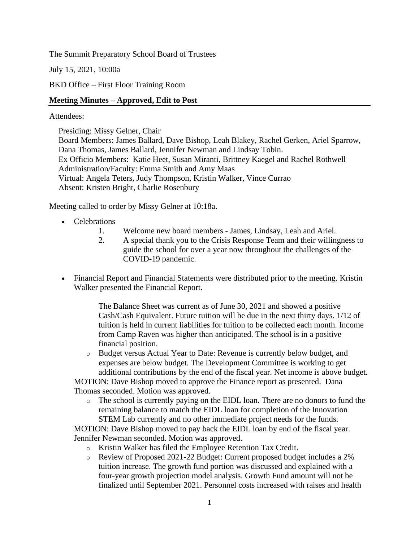The Summit Preparatory School Board of Trustees

July 15, 2021, 10:00a

BKD Office – First Floor Training Room

## **Meeting Minutes – Approved, Edit to Post**

### Attendees:

Presiding: Missy Gelner, Chair Board Members: James Ballard, Dave Bishop, Leah Blakey, Rachel Gerken, Ariel Sparrow, Dana Thomas, James Ballard, Jennifer Newman and Lindsay Tobin. Ex Officio Members: Katie Heet, Susan Miranti, Brittney Kaegel and Rachel Rothwell Administration/Faculty: Emma Smith and Amy Maas Virtual: Angela Teters, Judy Thompson, Kristin Walker, Vince Currao Absent: Kristen Bright, Charlie Rosenbury

Meeting called to order by Missy Gelner at 10:18a.

- Celebrations
	- 1. Welcome new board members James, Lindsay, Leah and Ariel.
	- 2. A special thank you to the Crisis Response Team and their willingness to guide the school for over a year now throughout the challenges of the COVID-19 pandemic.
- Financial Report and Financial Statements were distributed prior to the meeting. Kristin Walker presented the Financial Report.

The Balance Sheet was current as of June 30, 2021 and showed a positive Cash/Cash Equivalent. Future tuition will be due in the next thirty days. 1/12 of tuition is held in current liabilities for tuition to be collected each month. Income from Camp Raven was higher than anticipated. The school is in a positive financial position.

o Budget versus Actual Year to Date: Revenue is currently below budget, and expenses are below budget. The Development Committee is working to get additional contributions by the end of the fiscal year. Net income is above budget.

MOTION: Dave Bishop moved to approve the Finance report as presented. Dana Thomas seconded. Motion was approved.

o The school is currently paying on the EIDL loan. There are no donors to fund the remaining balance to match the EIDL loan for completion of the Innovation STEM Lab currently and no other immediate project needs for the funds.

MOTION: Dave Bishop moved to pay back the EIDL loan by end of the fiscal year. Jennifer Newman seconded. Motion was approved.

- o Kristin Walker has filed the Employee Retention Tax Credit.
- o Review of Proposed 2021-22 Budget: Current proposed budget includes a 2% tuition increase. The growth fund portion was discussed and explained with a four-year growth projection model analysis. Growth Fund amount will not be finalized until September 2021. Personnel costs increased with raises and health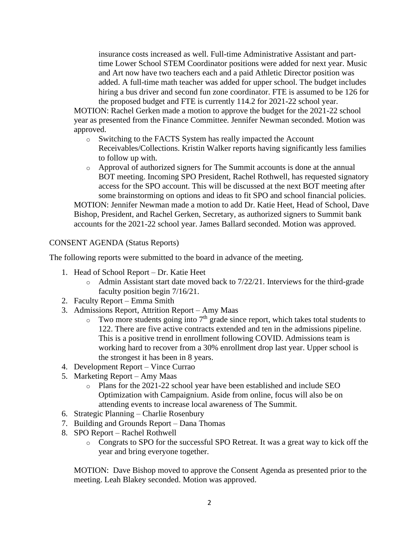insurance costs increased as well. Full-time Administrative Assistant and parttime Lower School STEM Coordinator positions were added for next year. Music and Art now have two teachers each and a paid Athletic Director position was added. A full-time math teacher was added for upper school. The budget includes hiring a bus driver and second fun zone coordinator. FTE is assumed to be 126 for the proposed budget and FTE is currently 114.2 for 2021-22 school year.

MOTION: Rachel Gerken made a motion to approve the budget for the 2021-22 school year as presented from the Finance Committee. Jennifer Newman seconded. Motion was approved.

- o Switching to the FACTS System has really impacted the Account Receivables/Collections. Kristin Walker reports having significantly less families to follow up with.
- o Approval of authorized signers for The Summit accounts is done at the annual BOT meeting. Incoming SPO President, Rachel Rothwell, has requested signatory access for the SPO account. This will be discussed at the next BOT meeting after some brainstorming on options and ideas to fit SPO and school financial policies.

MOTION: Jennifer Newman made a motion to add Dr. Katie Heet, Head of School, Dave Bishop, President, and Rachel Gerken, Secretary, as authorized signers to Summit bank accounts for the 2021-22 school year. James Ballard seconded. Motion was approved.

## CONSENT AGENDA (Status Reports)

The following reports were submitted to the board in advance of the meeting.

- 1. Head of School Report Dr. Katie Heet
	- o Admin Assistant start date moved back to 7/22/21. Interviews for the third-grade faculty position begin 7/16/21.
- 2. Faculty Report Emma Smith
- 3. Admissions Report, Attrition Report Amy Maas
	- $\circ$  Two more students going into 7<sup>th</sup> grade since report, which takes total students to 122. There are five active contracts extended and ten in the admissions pipeline. This is a positive trend in enrollment following COVID. Admissions team is working hard to recover from a 30% enrollment drop last year. Upper school is the strongest it has been in 8 years.
- 4. Development Report Vince Currao
- 5. Marketing Report Amy Maas
	- o Plans for the 2021-22 school year have been established and include SEO Optimization with Campaignium. Aside from online, focus will also be on attending events to increase local awareness of The Summit.
- 6. Strategic Planning Charlie Rosenbury
- 7. Building and Grounds Report Dana Thomas
- 8. SPO Report Rachel Rothwell
	- o Congrats to SPO for the successful SPO Retreat. It was a great way to kick off the year and bring everyone together.

MOTION: Dave Bishop moved to approve the Consent Agenda as presented prior to the meeting. Leah Blakey seconded. Motion was approved.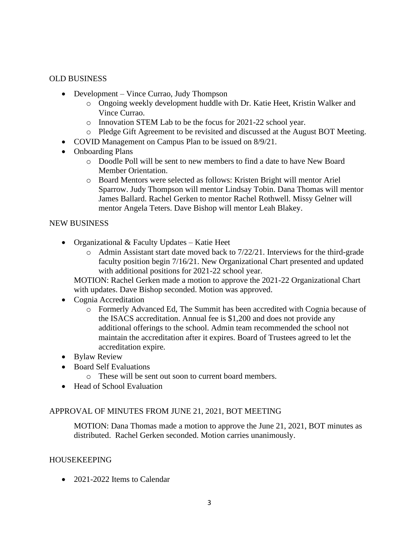## OLD BUSINESS

- Development Vince Currao, Judy Thompson
	- o Ongoing weekly development huddle with Dr. Katie Heet, Kristin Walker and Vince Currao.
	- o Innovation STEM Lab to be the focus for 2021-22 school year.
	- o Pledge Gift Agreement to be revisited and discussed at the August BOT Meeting.
- COVID Management on Campus Plan to be issued on  $8/9/21$ .
- Onboarding Plans
	- o Doodle Poll will be sent to new members to find a date to have New Board Member Orientation.
	- o Board Mentors were selected as follows: Kristen Bright will mentor Ariel Sparrow. Judy Thompson will mentor Lindsay Tobin. Dana Thomas will mentor James Ballard. Rachel Gerken to mentor Rachel Rothwell. Missy Gelner will mentor Angela Teters. Dave Bishop will mentor Leah Blakey.

### NEW BUSINESS

- Organizational & Faculty Updates Katie Heet
	- o Admin Assistant start date moved back to 7/22/21. Interviews for the third-grade faculty position begin 7/16/21. New Organizational Chart presented and updated with additional positions for 2021-22 school year.

MOTION: Rachel Gerken made a motion to approve the 2021-22 Organizational Chart with updates. Dave Bishop seconded. Motion was approved.

- Cognia Accreditation
	- o Formerly Advanced Ed, The Summit has been accredited with Cognia because of the ISACS accreditation. Annual fee is \$1,200 and does not provide any additional offerings to the school. Admin team recommended the school not maintain the accreditation after it expires. Board of Trustees agreed to let the accreditation expire.
- Bylaw Review
- Board Self Evaluations
	- o These will be sent out soon to current board members.
- Head of School Evaluation

# APPROVAL OF MINUTES FROM JUNE 21, 2021, BOT MEETING

MOTION: Dana Thomas made a motion to approve the June 21, 2021, BOT minutes as distributed. Rachel Gerken seconded. Motion carries unanimously.

### HOUSEKEEPING

• 2021-2022 Items to Calendar